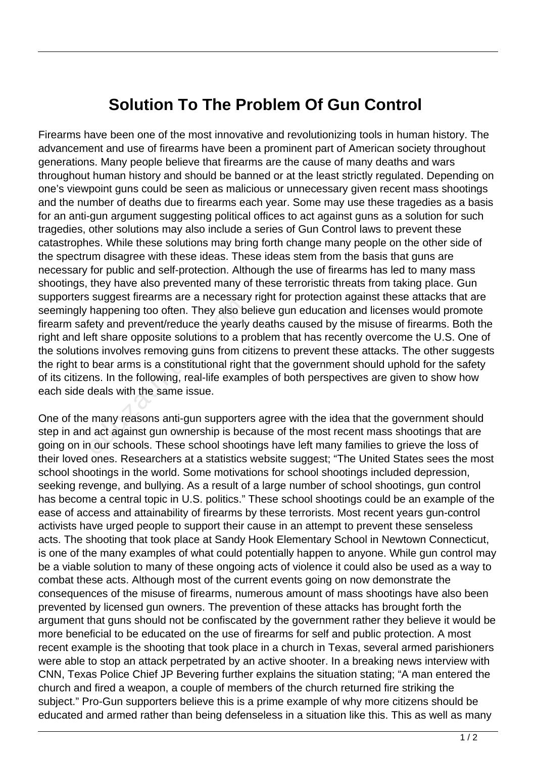## **Solution To The Problem Of Gun Control**

Firearms have been one of the most innovative and revolutionizing tools in human history. The advancement and use of firearms have been a prominent part of American society throughout generations. Many people believe that firearms are the cause of many deaths and wars throughout human history and should be banned or at the least strictly regulated. Depending on one's viewpoint guns could be seen as malicious or unnecessary given recent mass shootings and the number of deaths due to firearms each year. Some may use these tragedies as a basis for an anti-gun argument suggesting political offices to act against guns as a solution for such tragedies, other solutions may also include a series of Gun Control laws to prevent these catastrophes. While these solutions may bring forth change many people on the other side of the spectrum disagree with these ideas. These ideas stem from the basis that guns are necessary for public and self-protection. Although the use of firearms has led to many mass shootings, they have also prevented many of these terroristic threats from taking place. Gun supporters suggest firearms are a necessary right for protection against these attacks that are seemingly happening too often. They also believe gun education and licenses would promote firearm safety and prevent/reduce the yearly deaths caused by the misuse of firearms. Both the right and left share opposite solutions to a problem that has recently overcome the U.S. One of the solutions involves removing guns from citizens to prevent these attacks. The other suggests the right to bear arms is a constitutional right that the government should uphold for the safety of its citizens. In the following, real-life examples of both perspectives are given to show how each side deals with the same issue. happening too often. They also be<br>the internal conditions to a pind it share opposite solutions to a pins involves removing guns from c<br>bear arms is a constitutional right<br>ins. In the following, real-life exam<br>deals with t

One of the many reasons anti-gun supporters agree with the idea that the government should step in and act against gun ownership is because of the most recent mass shootings that are going on in our schools. These school shootings have left many families to grieve the loss of their loved ones. Researchers at a statistics website suggest; "The United States sees the most school shootings in the world. Some motivations for school shootings included depression, seeking revenge, and bullying. As a result of a large number of school shootings, gun control has become a central topic in U.S. politics." These school shootings could be an example of the ease of access and attainability of firearms by these terrorists. Most recent years gun-control activists have urged people to support their cause in an attempt to prevent these senseless acts. The shooting that took place at Sandy Hook Elementary School in Newtown Connecticut, is one of the many examples of what could potentially happen to anyone. While gun control may be a viable solution to many of these ongoing acts of violence it could also be used as a way to combat these acts. Although most of the current events going on now demonstrate the consequences of the misuse of firearms, numerous amount of mass shootings have also been prevented by licensed gun owners. The prevention of these attacks has brought forth the argument that guns should not be confiscated by the government rather they believe it would be more beneficial to be educated on the use of firearms for self and public protection. A most recent example is the shooting that took place in a church in Texas, several armed parishioners were able to stop an attack perpetrated by an active shooter. In a breaking news interview with CNN, Texas Police Chief JP Bevering further explains the situation stating; "A man entered the church and fired a weapon, a couple of members of the church returned fire striking the subject." Pro-Gun supporters believe this is a prime example of why more citizens should be educated and armed rather than being defenseless in a situation like this. This as well as many